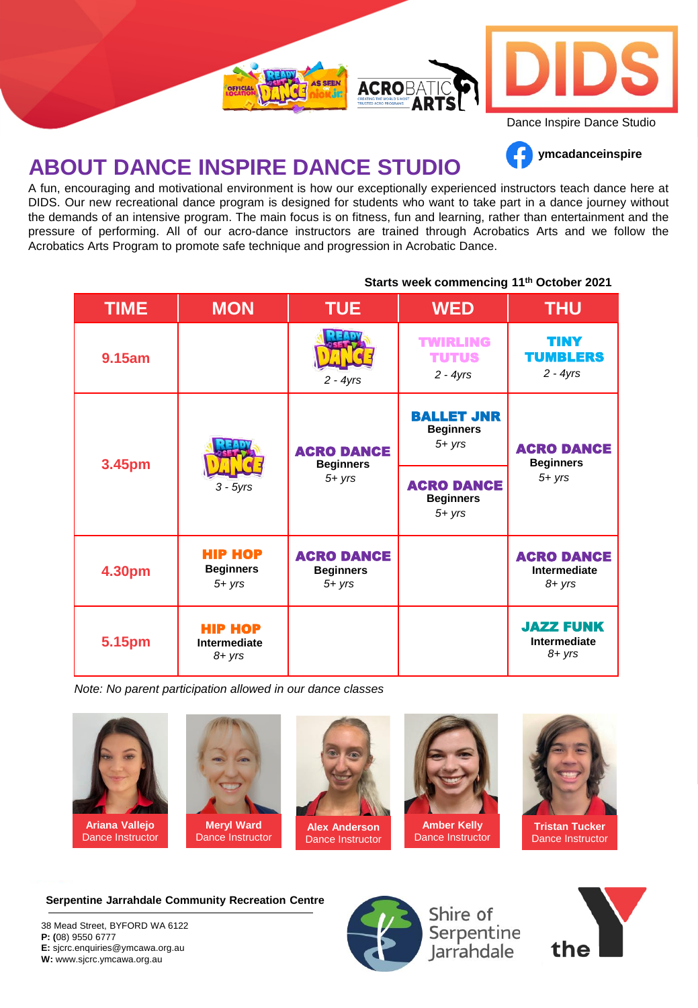

## **ABOUT DANCE INSPIRE DANCE STUDIO**

A fun, encouraging and motivational environment is how our exceptionally experienced instructors teach dance here at DIDS. Our new recreational dance program is designed for students who want to take part in a dance journey without the demands of an intensive program. The main focus is on fitness, fun and learning, rather than entertainment and the pressure of performing. All of our acro-dance instructors are trained through Acrobatics Arts and we follow the Acrobatics Arts Program to promote safe technique and progression in Acrobatic Dance.

|  | <b>TIME</b> | <b>MON</b>                                      | <b>TUE</b>                                         | <b>WED</b>                                         | <b>THU</b>                                         |
|--|-------------|-------------------------------------------------|----------------------------------------------------|----------------------------------------------------|----------------------------------------------------|
|  | 9.15am      |                                                 | $2 - 4yrs$                                         | <b>TWIRLING</b><br><b>TUTUS</b><br>$2 - 4yrs$      | <b>TINY</b><br><b>TUMBLERS</b><br>$2 - 4yrs$       |
|  | 3.45pm      | $3 - 5yrs$                                      | <b>ACRO DANCE</b><br><b>Beginners</b><br>$5 + yrs$ | <b>BALLET JNR</b><br><b>Beginners</b><br>$5 + yrs$ | <b>ACRO DANCE</b><br><b>Beginners</b><br>$5 + yrs$ |
|  |             |                                                 |                                                    | <b>ACRO DANCE</b><br><b>Beginners</b><br>$5 + yrs$ |                                                    |
|  | 4.30pm      | <b>HIP HOP</b><br><b>Beginners</b><br>$5 + yrs$ | <b>ACRO DANCE</b><br><b>Beginners</b><br>$5 + yrs$ |                                                    | <b>ACRO DANCE</b><br>Intermediate<br>$8 + yrs$     |
|  | 5.15pm      | <b>HIP HOP</b><br>Intermediate<br>$8 + yrs$     |                                                    |                                                    | <b>JAZZ FUNK</b><br>Intermediate<br>$8 + yrs$      |

#### **Starts week commencing 11th October 2021**

**ymcadanceinspire**

*Note: No parent participation allowed in our dance classes*



**Ariana Vallejo** Dance Instructor



Dance Instructor



**Alex Anderson** Dance Instructor



Dance Instructor



**Tristan Tucker** Dance Instructor

**Serpentine Jarrahdale Community Recreation Centre**

38 Mead Street, BYFORD WA 6122 **P: (**08) 9550 6777 **E:** sjcrc.enquiries@ymcawa.org.au **W:** www.sjcrc.ymcawa.org.au



Shire of Serpentine<br>Jarrahdale